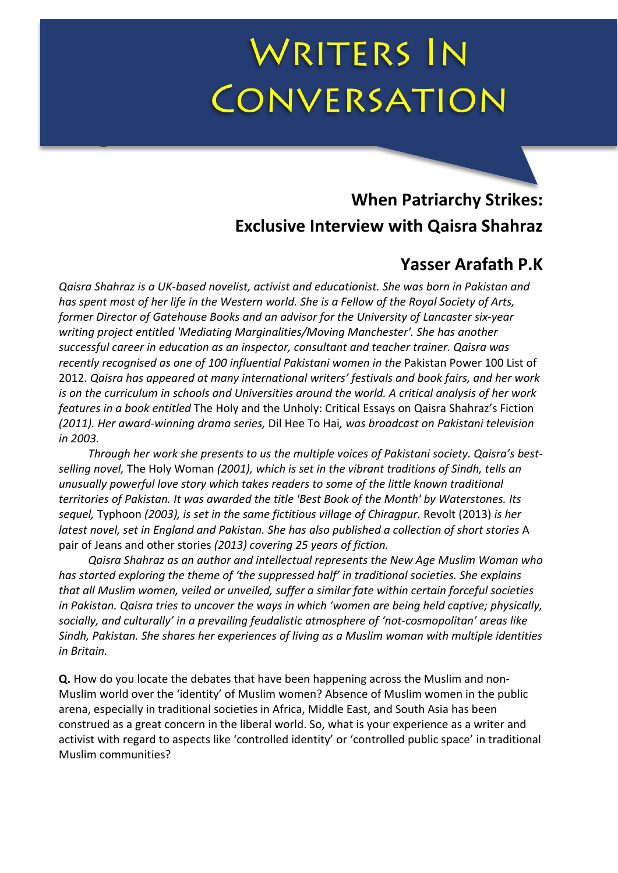# WRITERS IN CONVERSATION

## **When Patriarchy Strikes: Exclusive Interview with Qaisra Shahraz**

## **Yasser Arafath P.K**

*Qaisra Shahraz is a UK-based novelist, activist and educationist. She was born in Pakistan and has spent most of her life in the Western world. She is a Fellow of the Royal Society of Arts, former Director of Gatehouse Books and an advisor for the University of Lancaster six-year writing project entitled 'Mediating Marginalities/Moving Manchester'. She has another successful career in education as an inspector, consultant and teacher trainer. Qaisra was recently recognised as one of 100 influential Pakistani women in the* Pakistan Power 100 List of 2012. *Qaisra has appeared at many international writers' festivals and book fairs, and her work is on the curriculum in schools and Universities around the world. A critical analysis of her work features in a book entitled* The Holy and the Unholy: Critical Essays on Qaisra Shahraz's Fiction *(2011). Her award-winning drama series,* Dil Hee To Hai*, was broadcast on Pakistani television in 2003.*

*Through her work she presents to us the multiple voices of Pakistani society. Qaisra's bestselling novel,* The Holy Woman *(2001), which is set in the vibrant traditions of Sindh, tells an unusually powerful love story which takes readers to some of the little known traditional territories of Pakistan. It was awarded the title 'Best Book of the Month' by Waterstones. Its sequel,* Typhoon *(2003), is set in the same fictitious village of Chiragpur.* Revolt (2013) *is her latest novel, set in England and Pakistan. She has also published a collection of short stories* A pair of Jeans and other stories *(2013) covering 25 years of fiction.*

*Qaisra Shahraz as an author and intellectual represents the New Age Muslim Woman who has started exploring the theme of 'the suppressed half' in traditional societies. She explains that all Muslim women, veiled or unveiled, suffer a similar fate within certain forceful societies in Pakistan. Qaisra tries to uncover the ways in which 'women are being held captive; physically, socially, and culturally' in a prevailing feudalistic atmosphere of 'not-cosmopolitan' areas like Sindh, Pakistan. She shares her experiences of living as a Muslim woman with multiple identities in Britain.*

**Q.** How do you locate the debates that have been happening across the Muslim and non-Muslim world over the 'identity' of Muslim women? Absence of Muslim women in the public arena, especially in traditional societies in Africa, Middle East, and South Asia has been construed as a great concern in the liberal world. So, what is your experience as a writer and activist with regard to aspects like 'controlled identity' or 'controlled public space' in traditional Muslim communities?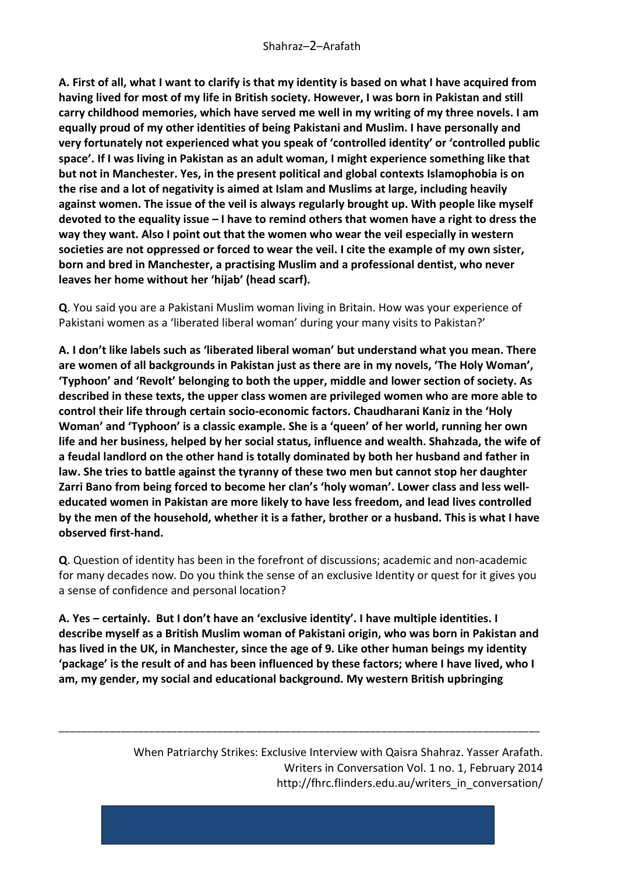**A. First of all, what I want to clarify is that my identity is based on what I have acquired from having lived for most of my life in British society. However, I was born in Pakistan and still carry childhood memories, which have served me well in my writing of my three novels. I am equally proud of my other identities of being Pakistani and Muslim. I have personally and very fortunately not experienced what you speak of 'controlled identity' or 'controlled public space'. If I was living in Pakistan as an adult woman, I might experience something like that but not in Manchester. Yes, in the present political and global contexts Islamophobia is on the rise and a lot of negativity is aimed at Islam and Muslims at large, including heavily against women. The issue of the veil is always regularly brought up. With people like myself devoted to the equality issue – I have to remind others that women have a right to dress the way they want. Also I point out that the women who wear the veil especially in western societies are not oppressed or forced to wear the veil. I cite the example of my own sister, born and bred in Manchester, a practising Muslim and a professional dentist, who never leaves her home without her 'hijab' (head scarf).**

**Q**. You said you are a Pakistani Muslim woman living in Britain. How was your experience of Pakistani women as a 'liberated liberal woman' during your many visits to Pakistan?'

**A. I don't like labels such as 'liberated liberal woman' but understand what you mean. There are women of all backgrounds in Pakistan just as there are in my novels, 'The Holy Woman', 'Typhoon' and 'Revolt' belonging to both the upper, middle and lower section of society. As described in these texts, the upper class women are privileged women who are more able to control their life through certain socio-economic factors. Chaudharani Kaniz in the 'Holy Woman' and 'Typhoon' is a classic example. She is a 'queen' of her world, running her own life and her business, helped by her social status, influence and wealth. Shahzada, the wife of a feudal landlord on the other hand is totally dominated by both her husband and father in law. She tries to battle against the tyranny of these two men but cannot stop her daughter Zarri Bano from being forced to become her clan's 'holy woman'. Lower class and less welleducated women in Pakistan are more likely to have less freedom, and lead lives controlled by the men of the household, whether it is a father, brother or a husband. This is what I have observed first-hand.**

**Q**. Question of identity has been in the forefront of discussions; academic and non-academic for many decades now. Do you think the sense of an exclusive Identity or quest for it gives you a sense of confidence and personal location?

**A. Yes – certainly. But I don't have an 'exclusive identity'. I have multiple identities. I describe myself as a British Muslim woman of Pakistani origin, who was born in Pakistan and has lived in the UK, in Manchester, since the age of 9. Like other human beings my identity 'package' is the result of and has been influenced by these factors; where I have lived, who I am, my gender, my social and educational background. My western British upbringing** 

\_\_\_\_\_\_\_\_\_\_\_\_\_\_\_\_\_\_\_\_\_\_\_\_\_\_\_\_\_\_\_\_\_\_\_\_\_\_\_\_\_\_\_\_\_\_\_\_\_\_\_\_\_\_\_\_\_\_\_\_\_\_\_\_\_\_\_\_\_\_\_\_\_\_\_\_\_\_\_\_\_\_\_\_\_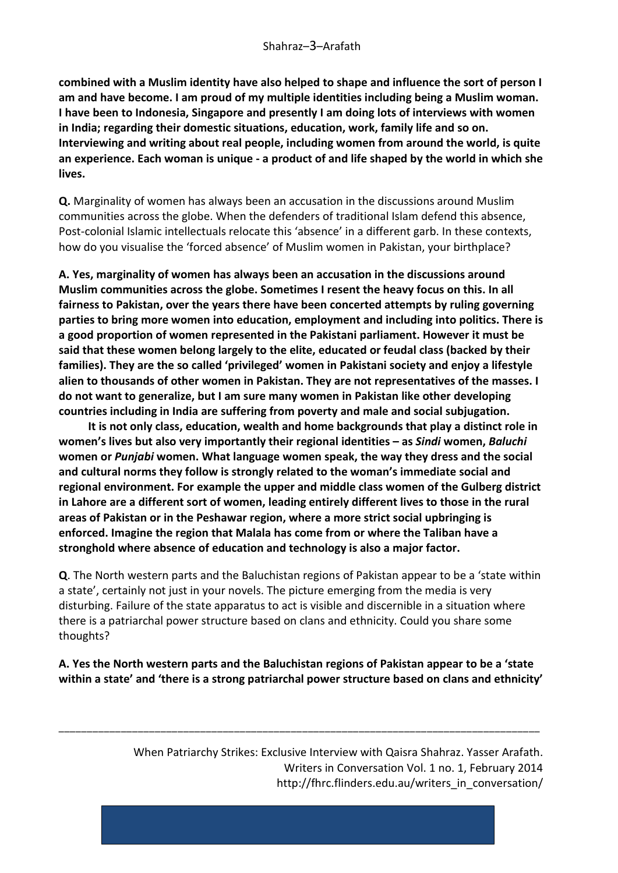**combined with a Muslim identity have also helped to shape and influence the sort of person I am and have become. I am proud of my multiple identities including being a Muslim woman. I have been to Indonesia, Singapore and presently I am doing lots of interviews with women in India; regarding their domestic situations, education, work, family life and so on. Interviewing and writing about real people, including women from around the world, is quite an experience. Each woman is unique - a product of and life shaped by the world in which she lives.**

**Q.** Marginality of women has always been an accusation in the discussions around Muslim communities across the globe. When the defenders of traditional Islam defend this absence, Post-colonial Islamic intellectuals relocate this 'absence' in a different garb. In these contexts, how do you visualise the 'forced absence' of Muslim women in Pakistan, your birthplace?

**A. Yes, marginality of women has always been an accusation in the discussions around Muslim communities across the globe. Sometimes I resent the heavy focus on this. In all fairness to Pakistan, over the years there have been concerted attempts by ruling governing parties to bring more women into education, employment and including into politics. There is a good proportion of women represented in the Pakistani parliament. However it must be said that these women belong largely to the elite, educated or feudal class (backed by their families). They are the so called 'privileged' women in Pakistani society and enjoy a lifestyle alien to thousands of other women in Pakistan. They are not representatives of the masses. I do not want to generalize, but I am sure many women in Pakistan like other developing countries including in India are suffering from poverty and male and social subjugation.**

**It is not only class, education, wealth and home backgrounds that play a distinct role in women's lives but also very importantly their regional identities – as** *Sindi* **women,** *Baluchi* **women or** *Punjabi* **women. What language women speak, the way they dress and the social and cultural norms they follow is strongly related to the woman's immediate social and regional environment. For example the upper and middle class women of the Gulberg district in Lahore are a different sort of women, leading entirely different lives to those in the rural areas of Pakistan or in the Peshawar region, where a more strict social upbringing is enforced. Imagine the region that Malala has come from or where the Taliban have a stronghold where absence of education and technology is also a major factor.** 

**Q**. The North western parts and the Baluchistan regions of Pakistan appear to be a 'state within a state', certainly not just in your novels. The picture emerging from the media is very disturbing. Failure of the state apparatus to act is visible and discernible in a situation where there is a patriarchal power structure based on clans and ethnicity. Could you share some thoughts?

**A. Yes the North western parts and the Baluchistan regions of Pakistan appear to be a 'state within a state' and 'there is a strong patriarchal power structure based on clans and ethnicity'** 

\_\_\_\_\_\_\_\_\_\_\_\_\_\_\_\_\_\_\_\_\_\_\_\_\_\_\_\_\_\_\_\_\_\_\_\_\_\_\_\_\_\_\_\_\_\_\_\_\_\_\_\_\_\_\_\_\_\_\_\_\_\_\_\_\_\_\_\_\_\_\_\_\_\_\_\_\_\_\_\_\_\_\_\_\_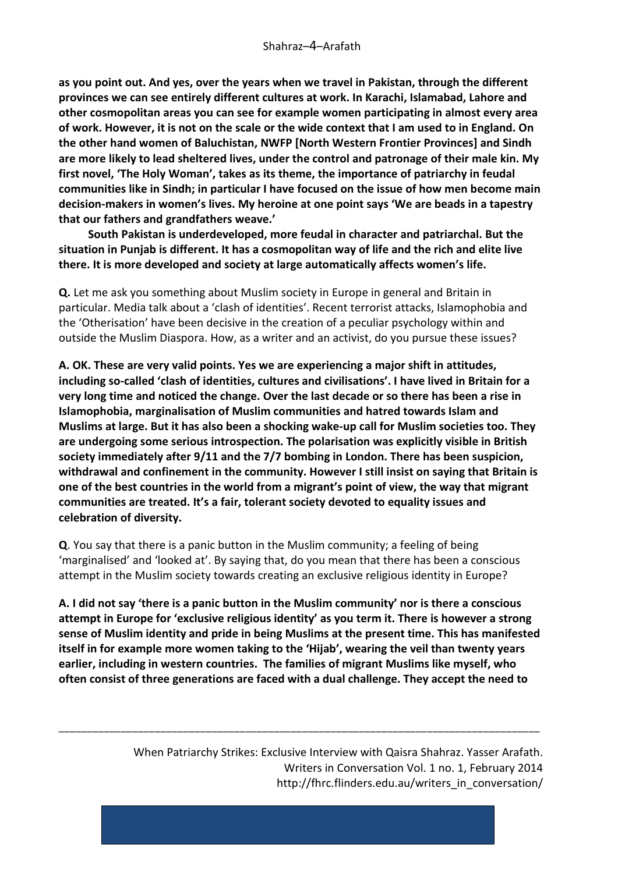**as you point out. And yes, over the years when we travel in Pakistan, through the different provinces we can see entirely different cultures at work. In Karachi, Islamabad, Lahore and other cosmopolitan areas you can see for example women participating in almost every area of work. However, it is not on the scale or the wide context that I am used to in England. On the other hand women of Baluchistan, NWFP [North Western Frontier Provinces] and Sindh are more likely to lead sheltered lives, under the control and patronage of their male kin. My first novel, 'The Holy Woman', takes as its theme, the importance of patriarchy in feudal communities like in Sindh; in particular I have focused on the issue of how men become main decision-makers in women's lives. My heroine at one point says 'We are beads in a tapestry that our fathers and grandfathers weave.'**

**South Pakistan is underdeveloped, more feudal in character and patriarchal. But the situation in Punjab is different. It has a cosmopolitan way of life and the rich and elite live there. It is more developed and society at large automatically affects women's life.** 

**Q.** Let me ask you something about Muslim society in Europe in general and Britain in particular. Media talk about a 'clash of identities'. Recent terrorist attacks, Islamophobia and the 'Otherisation' have been decisive in the creation of a peculiar psychology within and outside the Muslim Diaspora. How, as a writer and an activist, do you pursue these issues?

**A. OK. These are very valid points. Yes we are experiencing a major shift in attitudes, including so-called 'clash of identities, cultures and civilisations'. I have lived in Britain for a very long time and noticed the change. Over the last decade or so there has been a rise in Islamophobia, marginalisation of Muslim communities and hatred towards Islam and Muslims at large. But it has also been a shocking wake-up call for Muslim societies too. They are undergoing some serious introspection. The polarisation was explicitly visible in British society immediately after 9/11 and the 7/7 bombing in London. There has been suspicion, withdrawal and confinement in the community. However I still insist on saying that Britain is one of the best countries in the world from a migrant's point of view, the way that migrant communities are treated. It's a fair, tolerant society devoted to equality issues and celebration of diversity.**

**Q**. You say that there is a panic button in the Muslim community; a feeling of being 'marginalised' and 'looked at'. By saying that, do you mean that there has been a conscious attempt in the Muslim society towards creating an exclusive religious identity in Europe?

**A. I did not say 'there is a panic button in the Muslim community' nor is there a conscious attempt in Europe for 'exclusive religious identity' as you term it. There is however a strong sense of Muslim identity and pride in being Muslims at the present time. This has manifested itself in for example more women taking to the 'Hijab', wearing the veil than twenty years earlier, including in western countries. The families of migrant Muslims like myself, who often consist of three generations are faced with a dual challenge. They accept the need to** 

\_\_\_\_\_\_\_\_\_\_\_\_\_\_\_\_\_\_\_\_\_\_\_\_\_\_\_\_\_\_\_\_\_\_\_\_\_\_\_\_\_\_\_\_\_\_\_\_\_\_\_\_\_\_\_\_\_\_\_\_\_\_\_\_\_\_\_\_\_\_\_\_\_\_\_\_\_\_\_\_\_\_\_\_\_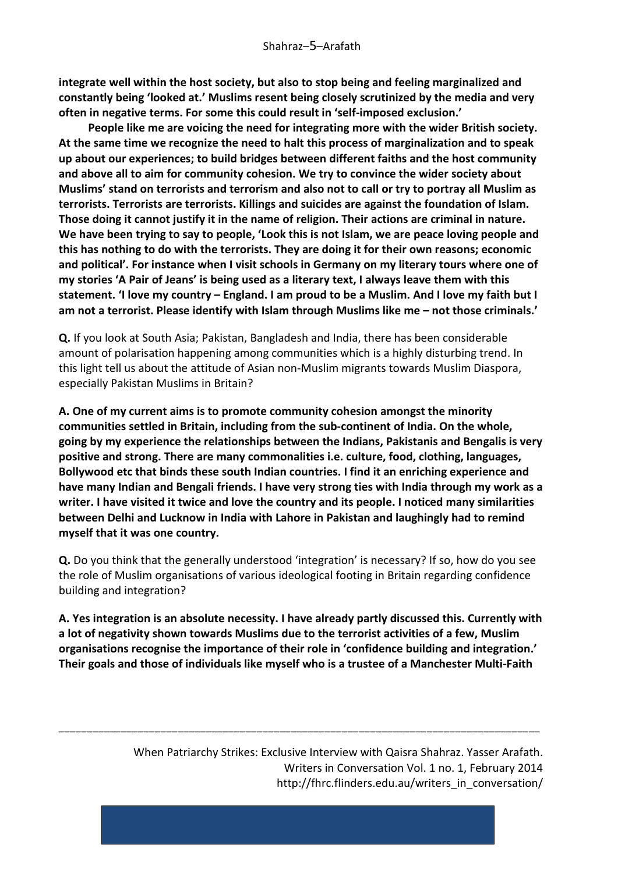**integrate well within the host society, but also to stop being and feeling marginalized and constantly being 'looked at.' Muslims resent being closely scrutinized by the media and very often in negative terms. For some this could result in 'self-imposed exclusion.'**

**People like me are voicing the need for integrating more with the wider British society. At the same time we recognize the need to halt this process of marginalization and to speak up about our experiences; to build bridges between different faiths and the host community and above all to aim for community cohesion. We try to convince the wider society about Muslims' stand on terrorists and terrorism and also not to call or try to portray all Muslim as terrorists. Terrorists are terrorists. Killings and suicides are against the foundation of Islam. Those doing it cannot justify it in the name of religion. Their actions are criminal in nature. We have been trying to say to people, 'Look this is not Islam, we are peace loving people and this has nothing to do with the terrorists. They are doing it for their own reasons; economic and political'. For instance when I visit schools in Germany on my literary tours where one of my stories 'A Pair of Jeans' is being used as a literary text, I always leave them with this statement. 'I love my country – England. I am proud to be a Muslim. And I love my faith but I am not a terrorist. Please identify with Islam through Muslims like me – not those criminals.'**

**Q.** If you look at South Asia; Pakistan, Bangladesh and India, there has been considerable amount of polarisation happening among communities which is a highly disturbing trend. In this light tell us about the attitude of Asian non-Muslim migrants towards Muslim Diaspora, especially Pakistan Muslims in Britain?

**A. One of my current aims is to promote community cohesion amongst the minority communities settled in Britain, including from the sub-continent of India. On the whole, going by my experience the relationships between the Indians, Pakistanis and Bengalis is very positive and strong. There are many commonalities i.e. culture, food, clothing, languages, Bollywood etc that binds these south Indian countries. I find it an enriching experience and have many Indian and Bengali friends. I have very strong ties with India through my work as a writer. I have visited it twice and love the country and its people. I noticed many similarities between Delhi and Lucknow in India with Lahore in Pakistan and laughingly had to remind myself that it was one country.** 

**Q.** Do you think that the generally understood 'integration' is necessary? If so, how do you see the role of Muslim organisations of various ideological footing in Britain regarding confidence building and integration?

**A. Yes integration is an absolute necessity. I have already partly discussed this. Currently with a lot of negativity shown towards Muslims due to the terrorist activities of a few, Muslim organisations recognise the importance of their role in 'confidence building and integration.' Their goals and those of individuals like myself who is a trustee of a Manchester Multi-Faith** 

\_\_\_\_\_\_\_\_\_\_\_\_\_\_\_\_\_\_\_\_\_\_\_\_\_\_\_\_\_\_\_\_\_\_\_\_\_\_\_\_\_\_\_\_\_\_\_\_\_\_\_\_\_\_\_\_\_\_\_\_\_\_\_\_\_\_\_\_\_\_\_\_\_\_\_\_\_\_\_\_\_\_\_\_\_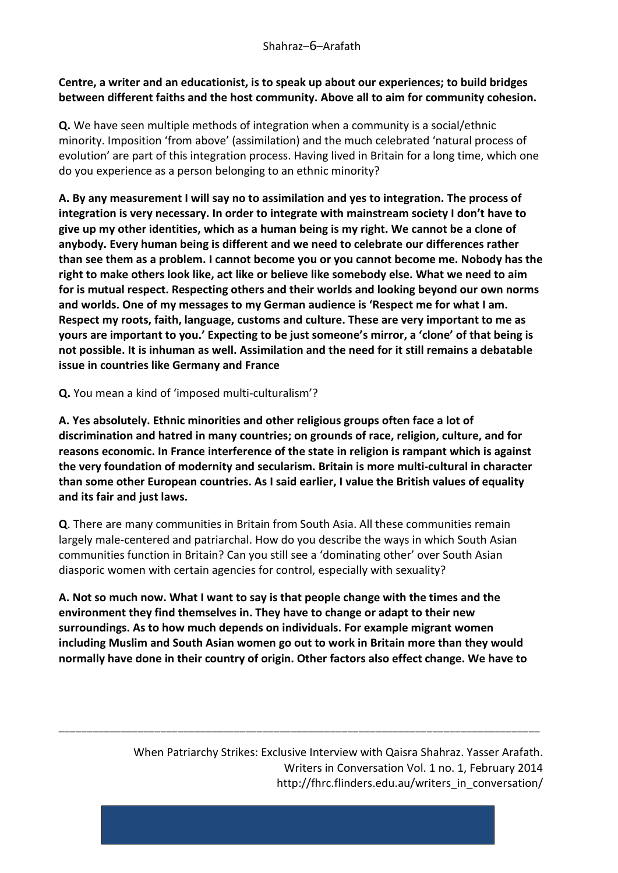#### **Centre, a writer and an educationist, is to speak up about our experiences; to build bridges between different faiths and the host community. Above all to aim for community cohesion.**

**Q.** We have seen multiple methods of integration when a community is a social/ethnic minority. Imposition 'from above' (assimilation) and the much celebrated 'natural process of evolution' are part of this integration process. Having lived in Britain for a long time, which one do you experience as a person belonging to an ethnic minority?

**A. By any measurement I will say no to assimilation and yes to integration. The process of integration is very necessary. In order to integrate with mainstream society I don't have to give up my other identities, which as a human being is my right. We cannot be a clone of anybody. Every human being is different and we need to celebrate our differences rather than see them as a problem. I cannot become you or you cannot become me. Nobody has the right to make others look like, act like or believe like somebody else. What we need to aim for is mutual respect. Respecting others and their worlds and looking beyond our own norms and worlds. One of my messages to my German audience is 'Respect me for what I am. Respect my roots, faith, language, customs and culture. These are very important to me as yours are important to you.' Expecting to be just someone's mirror, a 'clone' of that being is not possible. It is inhuman as well. Assimilation and the need for it still remains a debatable issue in countries like Germany and France**

**Q.** You mean a kind of 'imposed multi-culturalism'?

**A. Yes absolutely. Ethnic minorities and other religious groups often face a lot of discrimination and hatred in many countries; on grounds of race, religion, culture, and for reasons economic. In France interference of the state in religion is rampant which is against the very foundation of modernity and secularism. Britain is more multi-cultural in character than some other European countries. As I said earlier, I value the British values of equality and its fair and just laws.**

**Q**. There are many communities in Britain from South Asia. All these communities remain largely male-centered and patriarchal. How do you describe the ways in which South Asian communities function in Britain? Can you still see a 'dominating other' over South Asian diasporic women with certain agencies for control, especially with sexuality?

**A. Not so much now. What I want to say is that people change with the times and the environment they find themselves in. They have to change or adapt to their new surroundings. As to how much depends on individuals. For example migrant women including Muslim and South Asian women go out to work in Britain more than they would normally have done in their country of origin. Other factors also effect change. We have to** 

\_\_\_\_\_\_\_\_\_\_\_\_\_\_\_\_\_\_\_\_\_\_\_\_\_\_\_\_\_\_\_\_\_\_\_\_\_\_\_\_\_\_\_\_\_\_\_\_\_\_\_\_\_\_\_\_\_\_\_\_\_\_\_\_\_\_\_\_\_\_\_\_\_\_\_\_\_\_\_\_\_\_\_\_\_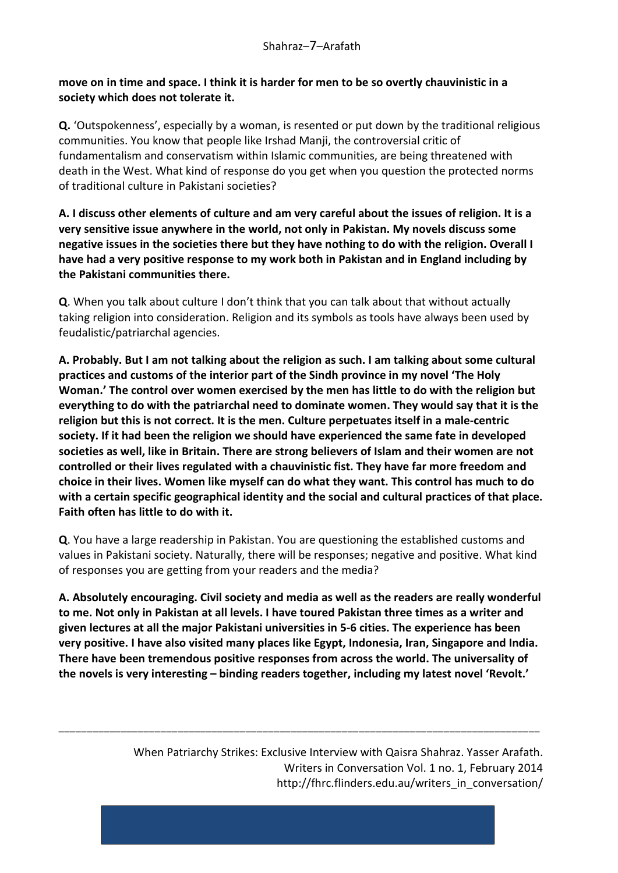### **move on in time and space. I think it is harder for men to be so overtly chauvinistic in a society which does not tolerate it.**

**Q.** 'Outspokenness', especially by a woman, is resented or put down by the traditional religious communities. You know that people like Irshad Manji, the controversial critic of fundamentalism and conservatism within Islamic communities, are being threatened with death in the West. What kind of response do you get when you question the protected norms of traditional culture in Pakistani societies?

**A. I discuss other elements of culture and am very careful about the issues of religion. It is a very sensitive issue anywhere in the world, not only in Pakistan. My novels discuss some negative issues in the societies there but they have nothing to do with the religion. Overall I have had a very positive response to my work both in Pakistan and in England including by the Pakistani communities there.**

**Q**. When you talk about culture I don't think that you can talk about that without actually taking religion into consideration. Religion and its symbols as tools have always been used by feudalistic/patriarchal agencies.

**A. Probably. But I am not talking about the religion as such. I am talking about some cultural practices and customs of the interior part of the Sindh province in my novel 'The Holy Woman.' The control over women exercised by the men has little to do with the religion but everything to do with the patriarchal need to dominate women. They would say that it is the religion but this is not correct. It is the men. Culture perpetuates itself in a male-centric society. If it had been the religion we should have experienced the same fate in developed societies as well, like in Britain. There are strong believers of Islam and their women are not controlled or their lives regulated with a chauvinistic fist. They have far more freedom and choice in their lives. Women like myself can do what they want. This control has much to do with a certain specific geographical identity and the social and cultural practices of that place. Faith often has little to do with it.**

**Q**. You have a large readership in Pakistan. You are questioning the established customs and values in Pakistani society. Naturally, there will be responses; negative and positive. What kind of responses you are getting from your readers and the media?

**A. Absolutely encouraging. Civil society and media as well as the readers are really wonderful to me. Not only in Pakistan at all levels. I have toured Pakistan three times as a writer and given lectures at all the major Pakistani universities in 5-6 cities. The experience has been very positive. I have also visited many places like Egypt, Indonesia, Iran, Singapore and India. There have been tremendous positive responses from across the world. The universality of the novels is very interesting – binding readers together, including my latest novel 'Revolt.'** 

\_\_\_\_\_\_\_\_\_\_\_\_\_\_\_\_\_\_\_\_\_\_\_\_\_\_\_\_\_\_\_\_\_\_\_\_\_\_\_\_\_\_\_\_\_\_\_\_\_\_\_\_\_\_\_\_\_\_\_\_\_\_\_\_\_\_\_\_\_\_\_\_\_\_\_\_\_\_\_\_\_\_\_\_\_